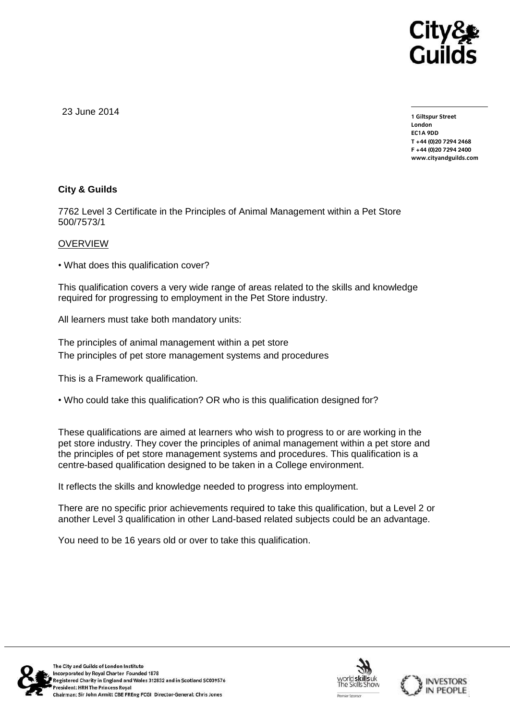

23 June 2014

**1 Giltspur Street EC1A 9DD** T +44 (0) 20 7 294 2468 **T +44 (0)20 7294 2468 F +44 (0)20 7294 2400 [www.cityandguilds.com](http://www.cityandguilds.com/)**

## **City & Guilds**

7762 Level 3 Certificate in the Principles of Animal Management within a Pet Store 500/7573/1

## **OVERVIEW**

• What does this qualification cover?

This qualification covers a very wide range of areas related to the skills and knowledge required for progressing to employment in the Pet Store industry.

All learners must take both mandatory units:

The principles of animal management within a pet store The principles of pet store management systems and procedures

This is a Framework qualification.

• Who could take this qualification? OR who is this qualification designed for?

These qualifications are aimed at learners who wish to progress to or are working in the pet store industry. They cover the principles of animal management within a pet store and the principles of pet store management systems and procedures. This qualification is a centre-based qualification designed to be taken in a College environment.

It reflects the skills and knowledge needed to progress into employment.

There are no specific prior achievements required to take this qualification, but a Level 2 or another Level 3 qualification in other Land-based related subjects could be an advantage.

You need to be 16 years old or over to take this qualification.